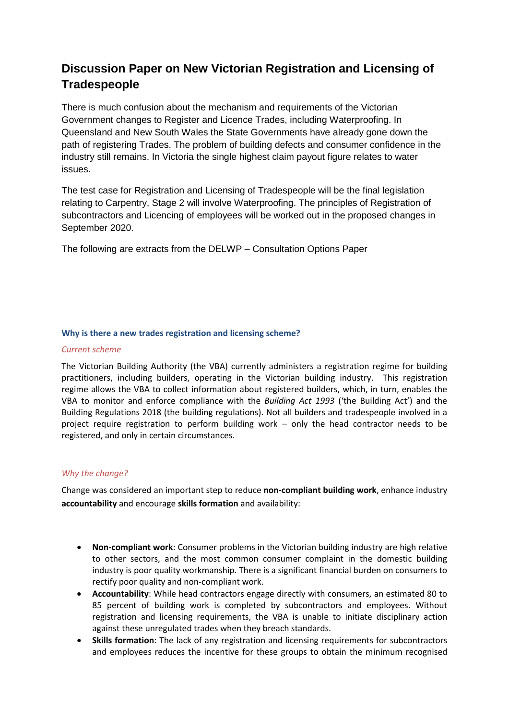# **Discussion Paper on New Victorian Registration and Licensing of Tradespeople**

There is much confusion about the mechanism and requirements of the Victorian Government changes to Register and Licence Trades, including Waterproofing. In Queensland and New South Wales the State Governments have already gone down the path of registering Trades. The problem of building defects and consumer confidence in the industry still remains. In Victoria the single highest claim payout figure relates to water issues.

The test case for Registration and Licensing of Tradespeople will be the final legislation relating to Carpentry, Stage 2 will involve Waterproofing. The principles of Registration of subcontractors and Licencing of employees will be worked out in the proposed changes in September 2020.

The following are extracts from the DELWP – Consultation Options Paper

# **Why is there a new trades registration and licensing scheme?**

# *Current scheme*

The Victorian Building Authority (the VBA) currently administers a registration regime for building practitioners, including builders, operating in the Victorian building industry. This registration regime allows the VBA to collect information about registered builders, which, in turn, enables the VBA to monitor and enforce compliance with the *Building Act 1993* ('the Building Act') and the Building Regulations 2018 (the building regulations). Not all builders and tradespeople involved in a project require registration to perform building work – only the head contractor needs to be registered, and only in certain circumstances.

# *Why the change?*

Change was considered an important step to reduce **non-compliant building work**, enhance industry **accountability** and encourage **skills formation** and availability:

- **Non-compliant work**: Consumer problems in the Victorian building industry are high relative to other sectors, and the most common consumer complaint in the domestic building industry is poor quality workmanship. There is a significant financial burden on consumers to rectify poor quality and non-compliant work.
- **Accountability**: While head contractors engage directly with consumers, an estimated 80 to 85 percent of building work is completed by subcontractors and employees. Without registration and licensing requirements, the VBA is unable to initiate disciplinary action against these unregulated trades when they breach standards.
- **Skills formation**: The lack of any registration and licensing requirements for subcontractors and employees reduces the incentive for these groups to obtain the minimum recognised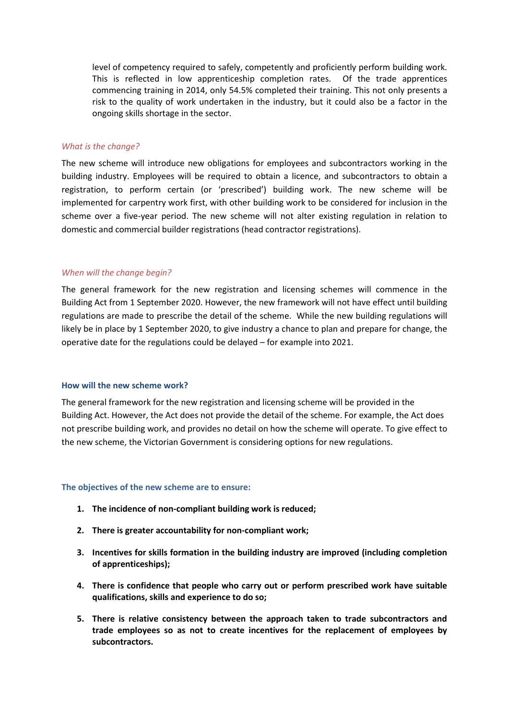level of competency required to safely, competently and proficiently perform building work. This is reflected in low apprenticeship completion rates. Of the trade apprentices commencing training in 2014, only 54.5% completed their training. This not only presents a risk to the quality of work undertaken in the industry, but it could also be a factor in the ongoing skills shortage in the sector.

# *What is the change?*

The new scheme will introduce new obligations for employees and subcontractors working in the building industry. Employees will be required to obtain a licence, and subcontractors to obtain a registration, to perform certain (or 'prescribed') building work. The new scheme will be implemented for carpentry work first, with other building work to be considered for inclusion in the scheme over a five-year period. The new scheme will not alter existing regulation in relation to domestic and commercial builder registrations (head contractor registrations).

# *When will the change begin?*

The general framework for the new registration and licensing schemes will commence in the Building Act from 1 September 2020. However, the new framework will not have effect until building regulations are made to prescribe the detail of the scheme. While the new building regulations will likely be in place by 1 September 2020, to give industry a chance to plan and prepare for change, the operative date for the regulations could be delayed – for example into 2021.

#### **How will the new scheme work?**

The general framework for the new registration and licensing scheme will be provided in the Building Act. However, the Act does not provide the detail of the scheme. For example, the Act does not prescribe building work, and provides no detail on how the scheme will operate. To give effect to the new scheme, the Victorian Government is considering options for new regulations.

#### **The objectives of the new scheme are to ensure:**

- **1. The incidence of non-compliant building work is reduced;**
- **2. There is greater accountability for non-compliant work;**
- **3. Incentives for skills formation in the building industry are improved (including completion of apprenticeships);**
- **4. There is confidence that people who carry out or perform prescribed work have suitable qualifications, skills and experience to do so;**
- **5. There is relative consistency between the approach taken to trade subcontractors and trade employees so as not to create incentives for the replacement of employees by subcontractors.**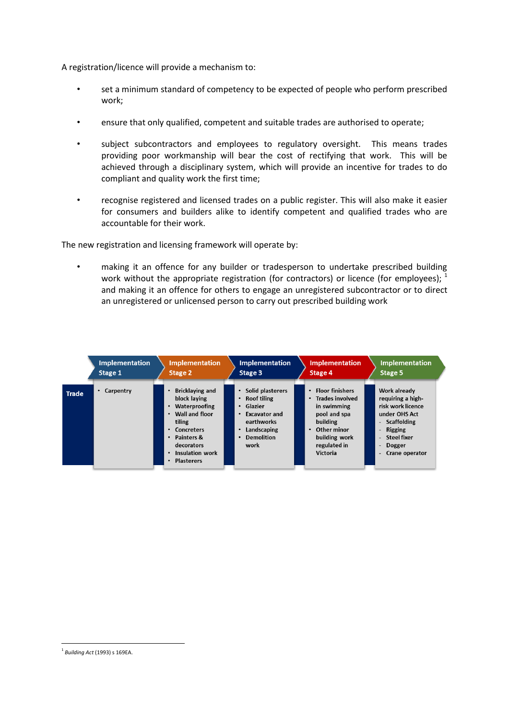A registration/licence will provide a mechanism to:

- set a minimum standard of competency to be expected of people who perform prescribed work;
- ensure that only qualified, competent and suitable trades are authorised to operate;
- subject subcontractors and employees to regulatory oversight. This means trades providing poor workmanship will bear the cost of rectifying that work. This will be achieved through a disciplinary system, which will provide an incentive for trades to do compliant and quality work the first time;
- recognise registered and licensed trades on a public register. This will also make it easier for consumers and builders alike to identify competent and qualified trades who are accountable for their work.

The new registration and licensing framework will operate by:

• making it an offence for any builder or tradesperson to undertake prescribed building work without the appropriate registration (for contractors) or licence (for employees);  $<sup>1</sup>$ </sup> and making it an offence for others to engage an unregistered subcontractor or to direct an unregistered or unlicensed person to carry out prescribed building work

|       | <b>Implementation</b><br><b>Implementation</b><br>Stage 1<br>Stage 2 |                                                                                                                                                                                          | <b>Implementation</b><br>Stage 3                                                                                                                                                             | <b>Implementation</b><br>Stage 4                                                                                                                   | <b>Implementation</b><br>Stage 5                                                                                                                     |  |  |
|-------|----------------------------------------------------------------------|------------------------------------------------------------------------------------------------------------------------------------------------------------------------------------------|----------------------------------------------------------------------------------------------------------------------------------------------------------------------------------------------|----------------------------------------------------------------------------------------------------------------------------------------------------|------------------------------------------------------------------------------------------------------------------------------------------------------|--|--|
| Trade | Carpentry                                                            | <b>Bricklaying and</b><br>block laving<br>Waterproofing<br>Wall and floor<br>tiling<br>• Concreters<br>• Painters &<br>decorators<br><b>Insulation work</b><br>$\bullet$<br>• Plasterers | Solid plasterers<br>$\bullet$<br><b>Roof tiling</b><br>٠<br>Glazier<br><b>Excavator and</b><br>$\bullet$<br>earthworks<br>Landscaping<br>$\bullet$<br><b>Demolition</b><br>$\bullet$<br>work | • Floor finishers<br>Trades involved<br>٠<br>in swimming<br>pool and spa<br>building<br>• Other minor<br>building work<br>regulated in<br>Victoria | Work already<br>requiring a high-<br>risk work licence<br>under OHS Act<br>- Scaffolding<br>- Rigging<br>- Steel fixer<br>Dogger<br>- Crane operator |  |  |

1

<sup>1</sup> *Building Act* (1993) s 169EA.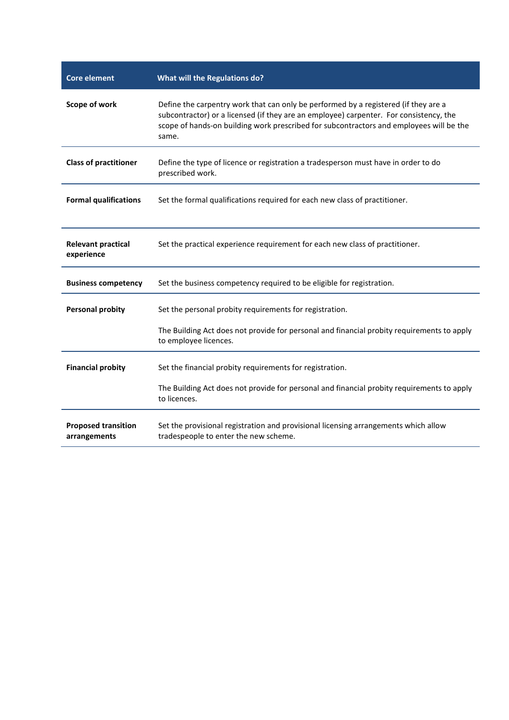| <b>Core element</b>                        | <b>What will the Regulations do?</b>                                                                                                                                                                                                                                              |  |  |  |  |
|--------------------------------------------|-----------------------------------------------------------------------------------------------------------------------------------------------------------------------------------------------------------------------------------------------------------------------------------|--|--|--|--|
| Scope of work                              | Define the carpentry work that can only be performed by a registered (if they are a<br>subcontractor) or a licensed (if they are an employee) carpenter. For consistency, the<br>scope of hands-on building work prescribed for subcontractors and employees will be the<br>same. |  |  |  |  |
| <b>Class of practitioner</b>               | Define the type of licence or registration a tradesperson must have in order to do<br>prescribed work.                                                                                                                                                                            |  |  |  |  |
| <b>Formal qualifications</b>               | Set the formal qualifications required for each new class of practitioner.                                                                                                                                                                                                        |  |  |  |  |
| <b>Relevant practical</b><br>experience    | Set the practical experience requirement for each new class of practitioner.                                                                                                                                                                                                      |  |  |  |  |
| <b>Business competency</b>                 | Set the business competency required to be eligible for registration.                                                                                                                                                                                                             |  |  |  |  |
| <b>Personal probity</b>                    | Set the personal probity requirements for registration.                                                                                                                                                                                                                           |  |  |  |  |
|                                            | The Building Act does not provide for personal and financial probity requirements to apply<br>to employee licences.                                                                                                                                                               |  |  |  |  |
| <b>Financial probity</b>                   | Set the financial probity requirements for registration.                                                                                                                                                                                                                          |  |  |  |  |
|                                            | The Building Act does not provide for personal and financial probity requirements to apply<br>to licences.                                                                                                                                                                        |  |  |  |  |
| <b>Proposed transition</b><br>arrangements | Set the provisional registration and provisional licensing arrangements which allow<br>tradespeople to enter the new scheme.                                                                                                                                                      |  |  |  |  |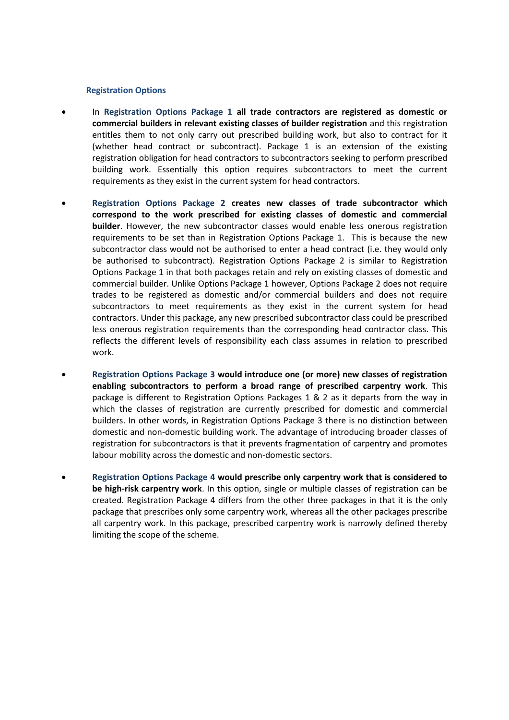#### **Registration Options**

- In **Registration Options Package 1 all trade contractors are registered as domestic or commercial builders in relevant existing classes of builder registration** and this registration entitles them to not only carry out prescribed building work, but also to contract for it (whether head contract or subcontract). Package 1 is an extension of the existing registration obligation for head contractors to subcontractors seeking to perform prescribed building work. Essentially this option requires subcontractors to meet the current requirements as they exist in the current system for head contractors.
- **Registration Options Package 2 creates new classes of trade subcontractor which correspond to the work prescribed for existing classes of domestic and commercial builder**. However, the new subcontractor classes would enable less onerous registration requirements to be set than in Registration Options Package 1. This is because the new subcontractor class would not be authorised to enter a head contract (i.e. they would only be authorised to subcontract). Registration Options Package 2 is similar to Registration Options Package 1 in that both packages retain and rely on existing classes of domestic and commercial builder. Unlike Options Package 1 however, Options Package 2 does not require trades to be registered as domestic and/or commercial builders and does not require subcontractors to meet requirements as they exist in the current system for head contractors. Under this package, any new prescribed subcontractor class could be prescribed less onerous registration requirements than the corresponding head contractor class. This reflects the different levels of responsibility each class assumes in relation to prescribed work.
- **Registration Options Package 3 would introduce one (or more) new classes of registration enabling subcontractors to perform a broad range of prescribed carpentry work**. This package is different to Registration Options Packages 1 & 2 as it departs from the way in which the classes of registration are currently prescribed for domestic and commercial builders. In other words, in Registration Options Package 3 there is no distinction between domestic and non-domestic building work. The advantage of introducing broader classes of registration for subcontractors is that it prevents fragmentation of carpentry and promotes labour mobility across the domestic and non-domestic sectors.
- **Registration Options Package 4 would prescribe only carpentry work that is considered to be high-risk carpentry work**. In this option, single or multiple classes of registration can be created. Registration Package 4 differs from the other three packages in that it is the only package that prescribes only some carpentry work, whereas all the other packages prescribe all carpentry work. In this package, prescribed carpentry work is narrowly defined thereby limiting the scope of the scheme.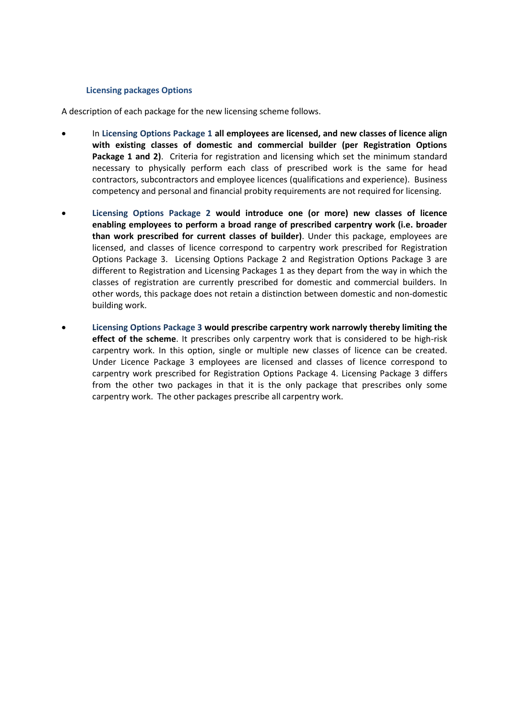# **Licensing packages Options**

A description of each package for the new licensing scheme follows.

- In **Licensing Options Package 1 all employees are licensed, and new classes of licence align with existing classes of domestic and commercial builder (per Registration Options Package 1 and 2)**. Criteria for registration and licensing which set the minimum standard necessary to physically perform each class of prescribed work is the same for head contractors, subcontractors and employee licences (qualifications and experience). Business competency and personal and financial probity requirements are not required for licensing.
- **Licensing Options Package 2 would introduce one (or more) new classes of licence enabling employees to perform a broad range of prescribed carpentry work (i.e. broader than work prescribed for current classes of builder)**. Under this package, employees are licensed, and classes of licence correspond to carpentry work prescribed for Registration Options Package 3. Licensing Options Package 2 and Registration Options Package 3 are different to Registration and Licensing Packages 1 as they depart from the way in which the classes of registration are currently prescribed for domestic and commercial builders. In other words, this package does not retain a distinction between domestic and non-domestic building work.
- **Licensing Options Package 3 would prescribe carpentry work narrowly thereby limiting the effect of the scheme**. It prescribes only carpentry work that is considered to be high-risk carpentry work. In this option, single or multiple new classes of licence can be created. Under Licence Package 3 employees are licensed and classes of licence correspond to carpentry work prescribed for Registration Options Package 4. Licensing Package 3 differs from the other two packages in that it is the only package that prescribes only some carpentry work. The other packages prescribe all carpentry work.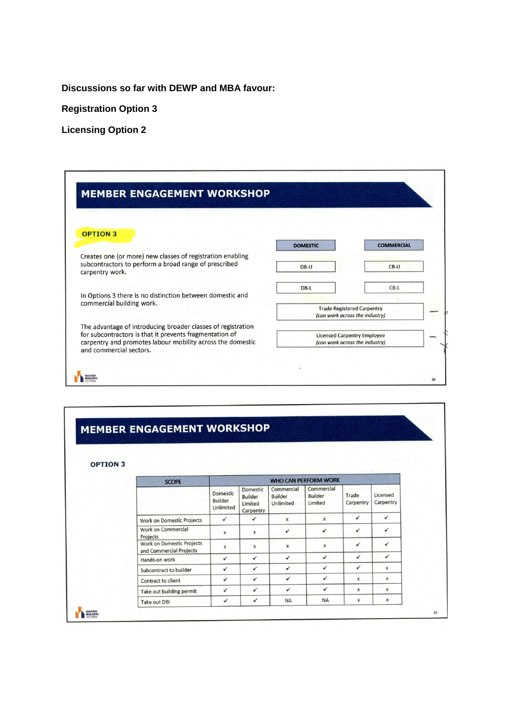**Discussions so far with DEWP and MBA favour:**

**Registration Option 3**

**Licensing Option 2**

| <b>MEMBER ENGAGEMENT WORKSHOP</b>                                                                                                                                                                                |                                                                      |                                                                     |  |
|------------------------------------------------------------------------------------------------------------------------------------------------------------------------------------------------------------------|----------------------------------------------------------------------|---------------------------------------------------------------------|--|
|                                                                                                                                                                                                                  |                                                                      |                                                                     |  |
| <b>OPTION 3</b>                                                                                                                                                                                                  |                                                                      |                                                                     |  |
|                                                                                                                                                                                                                  | <b>DOMESTIC</b>                                                      | <b>COMMERCIAL</b>                                                   |  |
| Creates one (or more) new classes of registration enabling<br>subcontractors to perform a broad range of prescribed<br>carpentry work.                                                                           | DB-U                                                                 | $CB-U$                                                              |  |
| In Options 3 there is no distinction between domestic and                                                                                                                                                        | $DB-L$                                                               | $CB-L$                                                              |  |
| commercial building work.                                                                                                                                                                                        |                                                                      | <b>Trade Registered Carpentry</b><br>(can work across the industry) |  |
| The advantage of introducing broader classes of registration<br>for subcontractors is that it prevents fragmentation of<br>carpentry and promotes labour mobility across the domestic<br>and commercial sectors. | <b>Licensed Carpentry Employee</b><br>(can work across the industry) |                                                                     |  |
|                                                                                                                                                                                                                  |                                                                      |                                                                     |  |

# MEMBER ENGAGEMENT WORKSHOP

**OPTION 3** 

| <b>SCOPE</b>                                         | <b>WHO CAN PERFORM WORK</b>             |                                                    |                                           |                                  |                    |                       |
|------------------------------------------------------|-----------------------------------------|----------------------------------------------------|-------------------------------------------|----------------------------------|--------------------|-----------------------|
|                                                      | Domestic<br><b>Builder</b><br>Unlimited | Domestic<br><b>Builder</b><br>Limited<br>Carpentry | Commercial<br><b>Builder</b><br>Unlimited | Commercial<br>Builder<br>Limited | Trade<br>Carpentry | Licensed<br>Carpentry |
| Work on Domestic Projects                            | $\checkmark$                            | ✓                                                  | X                                         | $\pmb{\times}$                   | ✓                  | $\checkmark$          |
| Work on Commercial<br>Projects                       | $\mathsf{x}$                            | $\pmb{\times}$                                     | $\checkmark$                              | $\checkmark$                     | ✓                  | $\checkmark$          |
| Work on Domestic Projects<br>and Commercial Projects | X                                       | x                                                  | x                                         | x                                | $\checkmark$       | $\checkmark$          |
| Hands-on work                                        | $\checkmark$                            | ✓                                                  | $\checkmark$                              | $\checkmark$ .                   | ✓                  | ✓                     |
| Subcontract to builder                               | ✓                                       | ✓                                                  | $\checkmark$                              | ✓                                | ✓                  | x                     |
| Contract to client                                   | ✓                                       | $\checkmark$                                       | $\checkmark$                              | ✓                                | x                  | x                     |
| Take out building permit                             | $\checkmark$                            | $\checkmark$                                       | ✓                                         | ✓                                | x                  | x                     |
| Take out DBI                                         | $\checkmark$                            | ✓                                                  | <b>NA</b>                                 | <b>NA</b>                        | x                  | x                     |